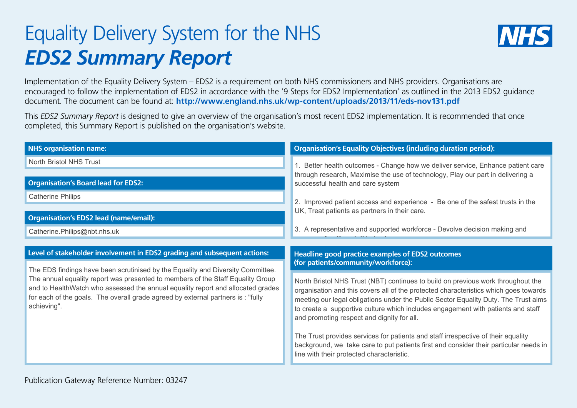## Equality Delivery System for the NHS *EDS2 Summary Report*



Implementation of the Equality Delivery System – EDS2 is a requirement on both NHS commissioners and NHS providers. Organisations are encouraged to follow the implementation of EDS2 in accordance with the '9 Steps for EDS2 Implementation' as outlined in the 2013 EDS2 guidance document. The document can be found at: **http://www.england.nhs.uk/wp-content/uploads/2013/11/eds-nov131.pdf**

This *EDS2 Summary Report* is designed to give an overview of the organisation's most recent EDS2 implementation. It is recommended that once completed, this Summary Report is published on the organisation's website.

| <b>NHS organisation name:</b>                                                                                                                                                                                                                                         | <b>Organisation's Equality Objectives (including duration period):</b>                                                                                                                                                                                                                                                                                                                            |
|-----------------------------------------------------------------------------------------------------------------------------------------------------------------------------------------------------------------------------------------------------------------------|---------------------------------------------------------------------------------------------------------------------------------------------------------------------------------------------------------------------------------------------------------------------------------------------------------------------------------------------------------------------------------------------------|
| North Bristol NHS Trust                                                                                                                                                                                                                                               | 1. Better health outcomes - Change how we deliver service, Enhance patient care                                                                                                                                                                                                                                                                                                                   |
| <b>Organisation's Board lead for EDS2:</b>                                                                                                                                                                                                                            | through research, Maximise the use of technology, Play our part in delivering a<br>successful health and care system                                                                                                                                                                                                                                                                              |
| <b>Catherine Philips</b>                                                                                                                                                                                                                                              | 2. Improved patient access and experience - Be one of the safest trusts in the                                                                                                                                                                                                                                                                                                                    |
| <b>Organisation's EDS2 lead (name/email):</b>                                                                                                                                                                                                                         | UK, Treat patients as partners in their care.                                                                                                                                                                                                                                                                                                                                                     |
| Catherine.Philips@nbt.nhs.uk                                                                                                                                                                                                                                          | 3. A representative and supported workforce - Devolve decision making and                                                                                                                                                                                                                                                                                                                         |
|                                                                                                                                                                                                                                                                       |                                                                                                                                                                                                                                                                                                                                                                                                   |
| Level of stakeholder involvement in EDS2 grading and subsequent actions:                                                                                                                                                                                              | Headline good practice examples of EDS2 outcomes                                                                                                                                                                                                                                                                                                                                                  |
| The EDS findings have been scrutinised by the Equality and Diversity Committee.                                                                                                                                                                                       | (for patients/community/workforce):                                                                                                                                                                                                                                                                                                                                                               |
| The annual equality report was presented to members of the Staff Equality Group<br>and to HealthWatch who assessed the annual equality report and allocated grades<br>for each of the goals. The overall grade agreed by external partners is : "fully<br>achieving". | North Bristol NHS Trust (NBT) continues to build on previous work throughout the<br>organisation and this covers all of the protected characteristics which goes towards<br>meeting our legal obligations under the Public Sector Equality Duty. The Trust aims<br>to create a supportive culture which includes engagement with patients and staff<br>and promoting respect and dignity for all. |
|                                                                                                                                                                                                                                                                       | The Trust provides services for patients and staff irrespective of their equality<br>background, we take care to put patients first and consider their particular needs in<br>line with their protected characteristic.                                                                                                                                                                           |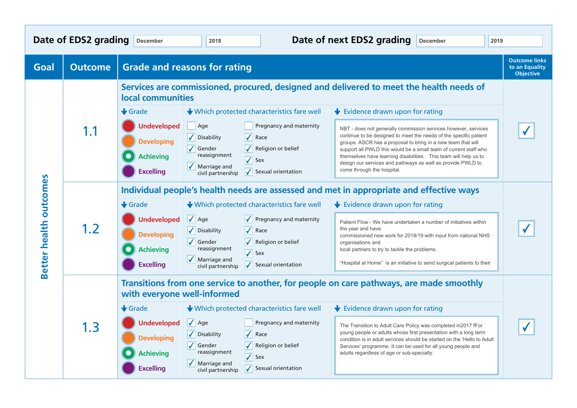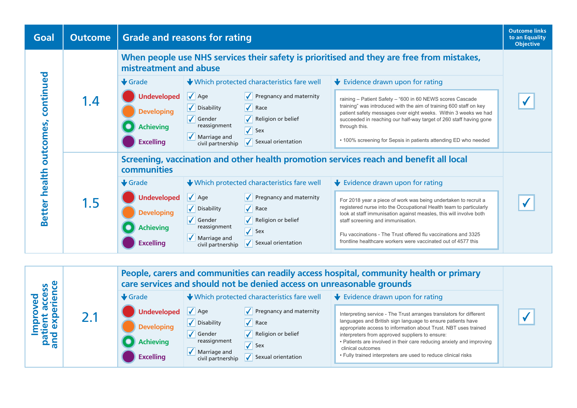

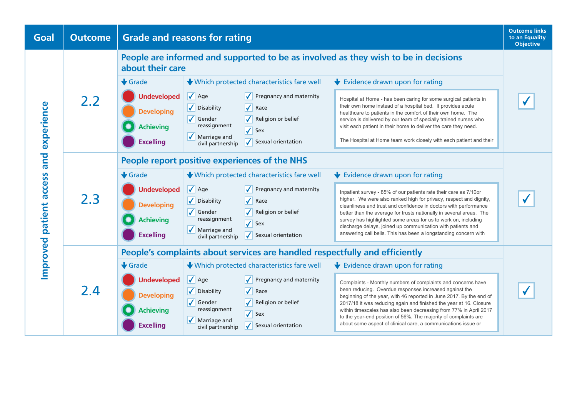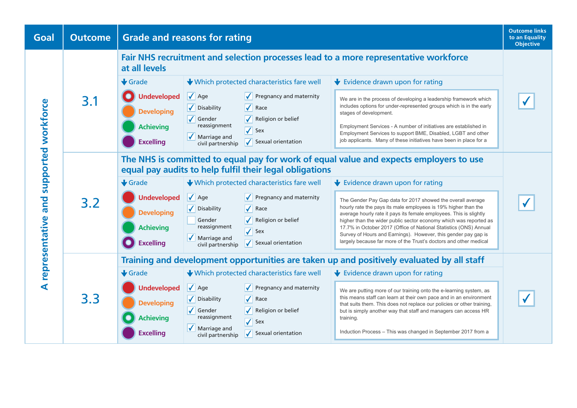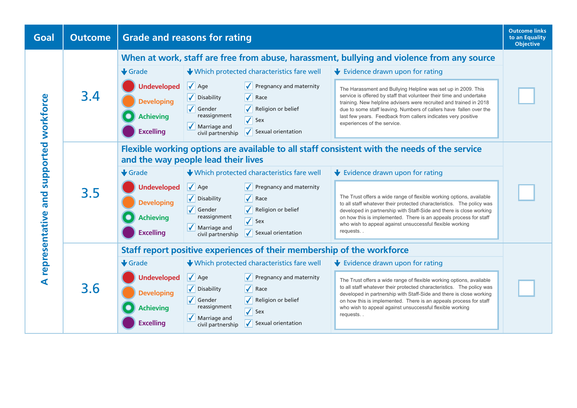